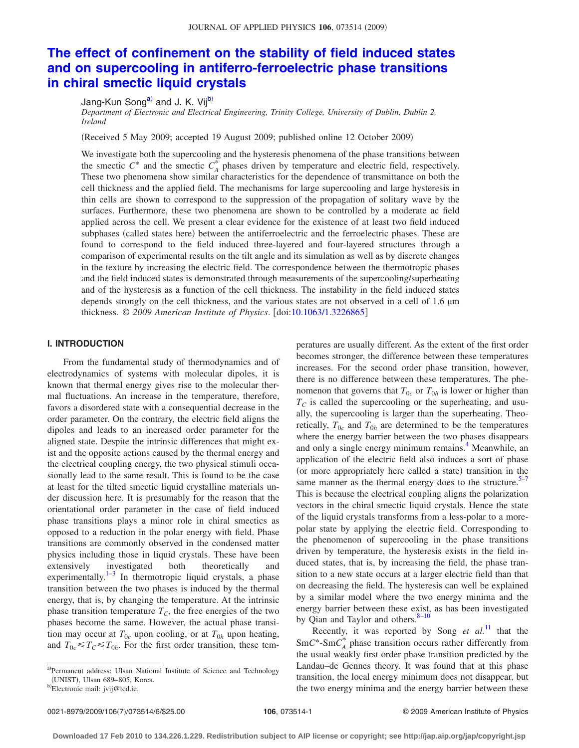# **[The effect of confinement on the stability of field induced states](http://dx.doi.org/10.1063/1.3226865) [and on supercooling in antiferro-ferroelectric phase transitions](http://dx.doi.org/10.1063/1.3226865) [in chiral smectic liquid crystals](http://dx.doi.org/10.1063/1.3226865)**

Jang-Kun Song<sup>a)</sup> and J. K. Vij<sup>b)</sup>

*Department of Electronic and Electrical Engineering, Trinity College, University of Dublin, Dublin 2, Ireland*

(Received 5 May 2009; accepted 19 August 2009; published online 12 October 2009)

We investigate both the supercooling and the hysteresis phenomena of the phase transitions between the smectic  $C^*$  and the smectic  $C_A^*$  phases driven by temperature and electric field, respectively. These two phenomena show similar characteristics for the dependence of transmittance on both the cell thickness and the applied field. The mechanisms for large supercooling and large hysteresis in thin cells are shown to correspond to the suppression of the propagation of solitary wave by the surfaces. Furthermore, these two phenomena are shown to be controlled by a moderate ac field applied across the cell. We present a clear evidence for the existence of at least two field induced subphases (called states here) between the antiferroelectric and the ferroelectric phases. These are found to correspond to the field induced three-layered and four-layered structures through a comparison of experimental results on the tilt angle and its simulation as well as by discrete changes in the texture by increasing the electric field. The correspondence between the thermotropic phases and the field induced states is demonstrated through measurements of the supercooling/superheating and of the hysteresis as a function of the cell thickness. The instability in the field induced states depends strongly on the cell thickness, and the various states are not observed in a cell of 1.6  $\mu$ m thickness. © *2009 American Institute of Physics*. doi[:10.1063/1.3226865](http://dx.doi.org/10.1063/1.3226865)

# **I. INTRODUCTION**

From the fundamental study of thermodynamics and of electrodynamics of systems with molecular dipoles, it is known that thermal energy gives rise to the molecular thermal fluctuations. An increase in the temperature, therefore, favors a disordered state with a consequential decrease in the order parameter. On the contrary, the electric field aligns the dipoles and leads to an increased order parameter for the aligned state. Despite the intrinsic differences that might exist and the opposite actions caused by the thermal energy and the electrical coupling energy, the two physical stimuli occasionally lead to the same result. This is found to be the case at least for the tilted smectic liquid crystalline materials under discussion here. It is presumably for the reason that the orientational order parameter in the case of field induced phase transitions plays a minor role in chiral smectics as opposed to a reduction in the polar energy with field. Phase transitions are commonly observed in the condensed matter physics including those in liquid crystals. These have been extensively investigated both theoretically and experimentally. $1-3$  In thermotropic liquid crystals, a phase transition between the two phases is induced by the thermal energy, that is, by changing the temperature. At the intrinsic phase transition temperature  $T_c$ , the free energies of the two phases become the same. However, the actual phase transition may occur at  $T_{0c}$  upon cooling, or at  $T_{0h}$  upon heating, and  $T_{0c} \leq T_{C} \leq T_{0h}$ . For the first order transition, these temperatures are usually different. As the extent of the first order becomes stronger, the difference between these temperatures increases. For the second order phase transition, however, there is no difference between these temperatures. The phenomenon that governs that  $T_{0c}$  or  $T_{0h}$  is lower or higher than  $T_c$  is called the supercooling or the superheating, and usually, the supercooling is larger than the superheating. Theoretically,  $T_{0c}$  and  $T_{0h}$  are determined to be the temperatures where the energy barrier between the two phases disappears and only a single energy minimum remains.<sup>4</sup> Meanwhile, an application of the electric field also induces a sort of phase (or more appropriately here called a state) transition in the same manner as the thermal energy does to the structure. $5-7$ This is because the electrical coupling aligns the polarization vectors in the chiral smectic liquid crystals. Hence the state of the liquid crystals transforms from a less-polar to a morepolar state by applying the electric field. Corresponding to the phenomenon of supercooling in the phase transitions driven by temperature, the hysteresis exists in the field induced states, that is, by increasing the field, the phase transition to a new state occurs at a larger electric field than that on decreasing the field. The hysteresis can well be explained by a similar model where the two energy minima and the energy barrier between these exist, as has been investigated

by Qian and Taylor and others. $8-10$ Recently, it was reported by Song et al.<sup>[11](#page-5-7)</sup> that the  $SmC^*$ -Sm $C^*$ <sub>A</sub> phase transition occurs rather differently from the usual weakly first order phase transition predicted by the Landau–de Gennes theory. It was found that at this phase transition, the local energy minimum does not disappear, but the two energy minima and the energy barrier between these

<span id="page-0-0"></span>a)Permanent address: Ulsan National Institute of Science and Technology  $(UNIST)$ , Ulsan 689–805, Korea.

<span id="page-0-1"></span>Electronic mail: jvij@tcd.ie.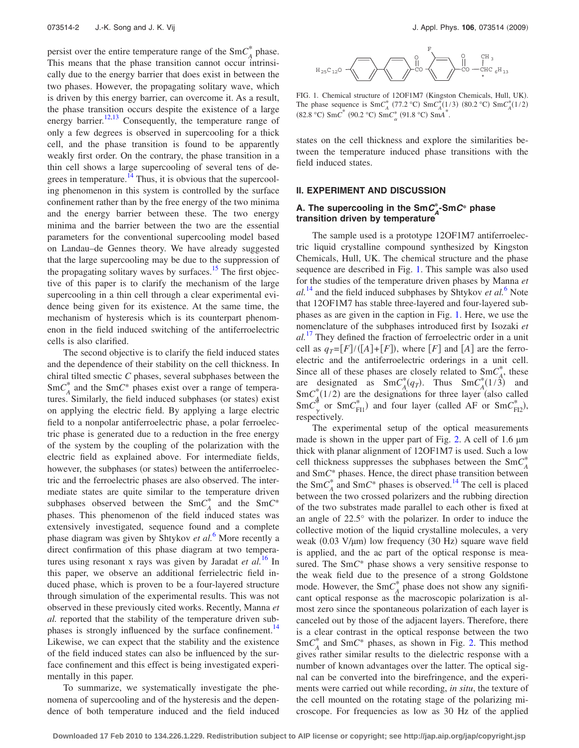persist over the entire temperature range of the  $SmC_A^*$  phase. This means that the phase transition cannot occur intrinsically due to the energy barrier that does exist in between the two phases. However, the propagating solitary wave, which is driven by this energy barrier, can overcome it. As a result, the phase transition occurs despite the existence of a large energy barrier.<sup>12,[13](#page-5-9)</sup> Consequently, the temperature range of only a few degrees is observed in supercooling for a thick cell, and the phase transition is found to be apparently weakly first order. On the contrary, the phase transition in a thin cell shows a large supercooling of several tens of degrees in temperature.<sup>14</sup> Thus, it is obvious that the supercooling phenomenon in this system is controlled by the surface confinement rather than by the free energy of the two minima and the energy barrier between these. The two energy minima and the barrier between the two are the essential parameters for the conventional supercooling model based on Landau–de Gennes theory. We have already suggested that the large supercooling may be due to the suppression of the propagating solitary waves by surfaces.<sup>15</sup> The first objective of this paper is to clarify the mechanism of the large supercooling in a thin cell through a clear experimental evidence being given for its existence. At the same time, the mechanism of hysteresis which is its counterpart phenomenon in the field induced switching of the antiferroelectric cells is also clarified.

The second objective is to clarify the field induced states and the dependence of their stability on the cell thickness. In chiral tilted smectic *C* phases, several subphases between the  $SmC_A^*$  and the Sm $C^*$  phases exist over a range of temperatures. Similarly, the field induced subphases (or states) exist on applying the electric field. By applying a large electric field to a nonpolar antiferroelectric phase, a polar ferroelectric phase is generated due to a reduction in the free energy of the system by the coupling of the polarization with the electric field as explained above. For intermediate fields, however, the subphases (or states) between the antiferroelectric and the ferroelectric phases are also observed. The intermediate states are quite similar to the temperature driven subphases observed between the  $SmC_A^*$  and the  $SmC^*$ phases. This phenomenon of the field induced states was extensively investigated, sequence found and a complete phase diagram was given by Shtykov *et al.*[6](#page-5-12) More recently a direct confirmation of this phase diagram at two temperatures using resonant x rays was given by Jaradat *et al.*[16](#page-5-13) In this paper, we observe an additional ferrielectric field induced phase, which is proven to be a four-layered structure through simulation of the experimental results. This was not observed in these previously cited works. Recently, Manna *et al.* reported that the stability of the temperature driven subphases is strongly influenced by the surface confinement.<sup>14</sup> Likewise, we can expect that the stability and the existence of the field induced states can also be influenced by the surface confinement and this effect is being investigated experimentally in this paper.

To summarize, we systematically investigate the phenomena of supercooling and of the hysteresis and the dependence of both temperature induced and the field induced

<span id="page-1-0"></span>

FIG. 1. Chemical structure of 12OF1M7 (Kingston Chemicals, Hull, UK). The phase sequence is  $\text{SmC}_{A}^{*}$  (77.2 °C)  $\text{SmC}_{A}^{*}(1/3)$  (80.2 °C)  $\text{SmC}_{A}^{*}(1/2)$  $(82.8 °C)$  SmC<sup>\*</sup> (90.2 °C) SmC<sup>\*</sup><sub>*a*</sub> (91.8 °C) SmA<sup>\*</sup>.

states on the cell thickness and explore the similarities between the temperature induced phase transitions with the field induced states.

#### **II. EXPERIMENT AND DISCUSSION**

# **A.** The supercooling in the Sm $C_A^*$ -Sm $C^*$  phase **transition driven by temperature**

The sample used is a prototype 12OF1M7 antiferroelectric liquid crystalline compound synthesized by Kingston Chemicals, Hull, UK. The chemical structure and the phase sequence are described in Fig. [1.](#page-1-0) This sample was also used for the studies of the temperature driven phases by Manna *et*  $al.<sup>14</sup>$  $al.<sup>14</sup>$  $al.<sup>14</sup>$  and the field induced subphases by Shtykov *et al.*<sup>[6](#page-5-12)</sup> Note that 12OF1M7 has stable three-layered and four-layered subphases as are given in the caption in Fig. [1.](#page-1-0) Here, we use the nomenclature of the subphases introduced first by Isozaki *et al.*[17](#page-5-14) They defined the fraction of ferroelectric order in a unit cell as  $q_T = [F]/([A] + [F])$ , where  $[F]$  and  $[A]$  are the ferroelectric and the antiferroelectric orderings in a unit cell. Since all of these phases are closely related to  $\text{Sm}C_A^*$ , these are designated as  $SmC_A^*(q_T)$ . Thus  $SmC_A^*(1/3)$  and  $\text{SmC}_{4}^{*}(1/2)$  are the designations for three layer (also called  $\text{SmC}_{\gamma}^*$  or  $\text{SmC}_{\text{FI1}}^*$ ) and four layer (called AF or  $\text{SmC}_{\text{FI2}}^*$ ), respectively.

The experimental setup of the optical measurements made is shown in the upper part of Fig. [2.](#page-2-0) A cell of 1.6  $\mu$ m thick with planar alignment of 12OF1M7 is used. Such a low cell thickness suppresses the subphases between the  $SmC_A^*$ and Sm*C*\* phases. Hence, the direct phase transition between the Sm $C_A^*$  and Sm $C^*$  phases is observed.<sup>14</sup> The cell is placed between the two crossed polarizers and the rubbing direction of the two substrates made parallel to each other is fixed at an angle of 22.5° with the polarizer. In order to induce the collective motion of the liquid crystalline molecules, a very weak (0.03 V/µm) low frequency (30 Hz) square wave field is applied, and the ac part of the optical response is measured. The Sm*C*\* phase shows a very sensitive response to the weak field due to the presence of a strong Goldstone mode. However, the  $\text{Sm}C_A^*$  phase does not show any significant optical response as the macroscopic polarization is almost zero since the spontaneous polarization of each layer is canceled out by those of the adjacent layers. Therefore, there is a clear contrast in the optical response between the two  $SmC_A^*$  and  $SmC^*$  phases, as shown in Fig. [2.](#page-2-0) This method gives rather similar results to the dielectric response with a number of known advantages over the latter. The optical signal can be converted into the birefringence, and the experiments were carried out while recording, *in situ*, the texture of the cell mounted on the rotating stage of the polarizing microscope. For frequencies as low as 30 Hz of the applied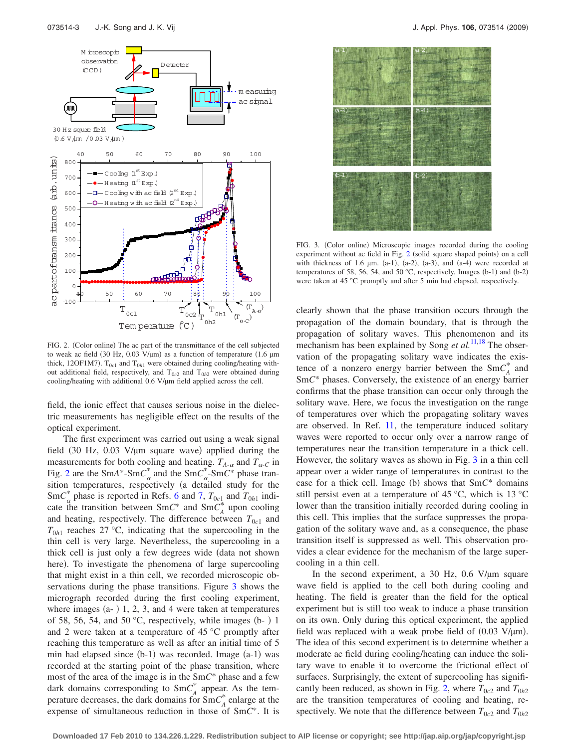<span id="page-2-0"></span>

FIG. 2. (Color online) The ac part of the transmittance of the cell subjected to weak ac field  $(30 \text{ Hz}, 0.03 \text{ V/µm})$  as a function of temperature  $(1.6 \text{ µm})$ thick, 12OF1M7).  $T_{0c1}$  and  $T_{0h1}$  were obtained during cooling/heating without additional field, respectively, and T<sub>0c2</sub> and T<sub>0h2</sub> were obtained during cooling/heating with additional 0.6 V/µm field applied across the cell.

field, the ionic effect that causes serious noise in the dielectric measurements has negligible effect on the results of the optical experiment.

The first experiment was carried out using a weak signal field (30 Hz, 0.03 V/µm square wave) applied during the measurements for both cooling and heating.  $T_{A-\alpha}$  and  $T_{\alpha-C}$  in Fig. [2](#page-2-0) are the SmA\*-Sm $C^*_{\alpha}$  and the Sm $C^*_{\alpha}$ -Sm $C^*$  phase transition temperatures, respectively (a detailed study for the Sm $C^*_{\alpha}$  phase is reported in Refs. [6](#page-5-12) and [7,](#page-5-4)  $T_{0c}$  and  $T_{0h1}$  indicate the transition between  $\text{SmC}^*$  and  $\text{SmC}^*_{\mathcal{A}}$  upon cooling and heating, respectively. The difference between  $T_{0c1}$  and  $T_{0h1}$  reaches 27 °C, indicating that the supercooling in the thin cell is very large. Nevertheless, the supercooling in a thick cell is just only a few degrees wide data not shown here). To investigate the phenomena of large supercooling that might exist in a thin cell, we recorded microscopic observations during the phase transitions. Figure [3](#page-2-1) shows the micrograph recorded during the first cooling experiment, where images  $(a-)$  1, 2, 3, and 4 were taken at temperatures of 58, 56, 54, and 50 °C, respectively, while images (b-  $\vert$  1 and 2 were taken at a temperature of 45 °C promptly after reaching this temperature as well as after an initial time of 5 min had elapsed since (b-1) was recorded. Image (a-1) was recorded at the starting point of the phase transition, where most of the area of the image is in the Sm*C*\* phase and a few dark domains corresponding to  $\text{Sm}C_A^*$  appear. As the temperature decreases, the dark domains for  $SmC_A^*$  enlarge at the expense of simultaneous reduction in those of Sm*C*\*. It is

<span id="page-2-1"></span>

FIG. 3. (Color online) Microscopic images recorded during the cooling experiment without ac field in Fig. [2](#page-2-0) (solid square shaped points) on a cell with thickness of 1.6  $\mu$ m. (a-1), (a-2), (a-3), and (a-4) were recorded at temperatures of 58, 56, 54, and 50 °C, respectively. Images (b-1) and (b-2) were taken at 45 °C promptly and after 5 min had elapsed, respectively.

clearly shown that the phase transition occurs through the propagation of the domain boundary, that is through the propagation of solitary waves. This phenomenon and its mechanism has been explained by Song *et al.*<sup>[11](#page-5-7)[,18](#page-5-15)</sup> The observation of the propagating solitary wave indicates the existence of a nonzero energy barrier between the  $SmC_A^*$  and Sm*C*\* phases. Conversely, the existence of an energy barrier confirms that the phase transition can occur only through the solitary wave. Here, we focus the investigation on the range of temperatures over which the propagating solitary waves are observed. In Ref. [11,](#page-5-7) the temperature induced solitary waves were reported to occur only over a narrow range of temperatures near the transition temperature in a thick cell. However, the solitary waves as shown in Fig. [3](#page-2-1) in a thin cell appear over a wider range of temperatures in contrast to the case for a thick cell. Image (b) shows that SmC\* domains still persist even at a temperature of 45 °C, which is 13 °C lower than the transition initially recorded during cooling in this cell. This implies that the surface suppresses the propagation of the solitary wave and, as a consequence, the phase transition itself is suppressed as well. This observation provides a clear evidence for the mechanism of the large supercooling in a thin cell.

In the second experiment, a 30 Hz,  $0.6$  V/ $\mu$ m square wave field is applied to the cell both during cooling and heating. The field is greater than the field for the optical experiment but is still too weak to induce a phase transition on its own. Only during this optical experiment, the applied field was replaced with a weak probe field of  $(0.03 \text{ V/}\mu\text{m})$ . The idea of this second experiment is to determine whether a moderate ac field during cooling/heating can induce the solitary wave to enable it to overcome the frictional effect of surfaces. Surprisingly, the extent of supercooling has signifi-cantly been reduced, as shown in Fig. [2,](#page-2-0) where  $T_{0c2}$  and  $T_{0h2}$ are the transition temperatures of cooling and heating, respectively. We note that the difference between  $T_{0c2}$  and  $T_{0h2}$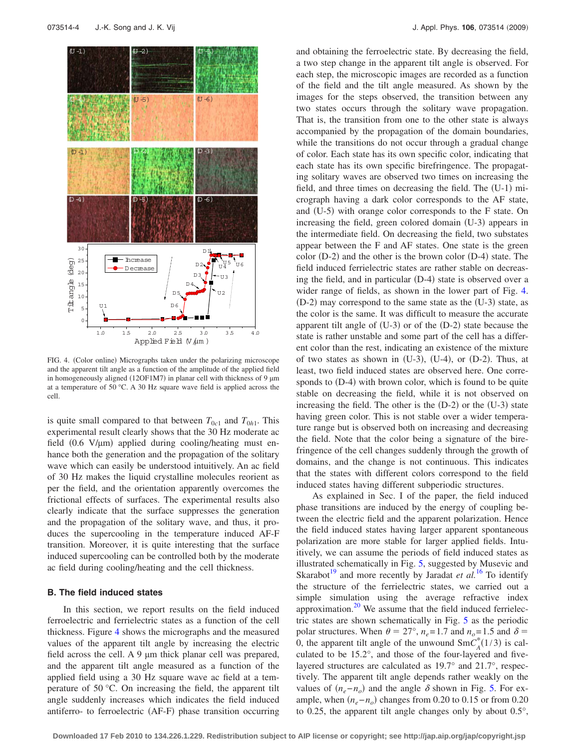<span id="page-3-0"></span>

FIG. 4. (Color online) Micrographs taken under the polarizing microscope and the apparent tilt angle as a function of the amplitude of the applied field in homogeneously aligned (12OF1M7) in planar cell with thickness of  $9 \mu m$ at a temperature of 50 °C. A 30 Hz square wave field is applied across the cell.

is quite small compared to that between  $T_{0c1}$  and  $T_{0h1}$ . This experimental result clearly shows that the 30 Hz moderate ac field (0.6 V/µm) applied during cooling/heating must enhance both the generation and the propagation of the solitary wave which can easily be understood intuitively. An ac field of 30 Hz makes the liquid crystalline molecules reorient as per the field, and the orientation apparently overcomes the frictional effects of surfaces. The experimental results also clearly indicate that the surface suppresses the generation and the propagation of the solitary wave, and thus, it produces the supercooling in the temperature induced AF-F transition. Moreover, it is quite interesting that the surface induced supercooling can be controlled both by the moderate ac field during cooling/heating and the cell thickness.

## **B. The field induced states**

In this section, we report results on the field induced ferroelectric and ferrielectric states as a function of the cell thickness. Figure [4](#page-3-0) shows the micrographs and the measured values of the apparent tilt angle by increasing the electric field across the cell. A 9 µm thick planar cell was prepared, and the apparent tilt angle measured as a function of the applied field using a 30 Hz square wave ac field at a temperature of 50 °C. On increasing the field, the apparent tilt angle suddenly increases which indicates the field induced antiferro- to ferroelectric (AF-F) phase transition occurring

and obtaining the ferroelectric state. By decreasing the field, a two step change in the apparent tilt angle is observed. For each step, the microscopic images are recorded as a function of the field and the tilt angle measured. As shown by the images for the steps observed, the transition between any two states occurs through the solitary wave propagation. That is, the transition from one to the other state is always accompanied by the propagation of the domain boundaries, while the transitions do not occur through a gradual change of color. Each state has its own specific color, indicating that each state has its own specific birefringence. The propagating solitary waves are observed two times on increasing the field, and three times on decreasing the field. The (U-1) micrograph having a dark color corresponds to the AF state, and (U-5) with orange color corresponds to the F state. On increasing the field, green colored domain (U-3) appears in the intermediate field. On decreasing the field, two substates appear between the F and AF states. One state is the green color  $(D-2)$  and the other is the brown color  $(D-4)$  state. The field induced ferrielectric states are rather stable on decreasing the field, and in particular (D-4) state is observed over a wider range of fields, as shown in the lower part of Fig. [4.](#page-3-0) (D-2) may correspond to the same state as the (U-3) state, as the color is the same. It was difficult to measure the accurate apparent tilt angle of  $(U-3)$  or of the  $(D-2)$  state because the state is rather unstable and some part of the cell has a different color than the rest, indicating an existence of the mixture of two states as shown in  $(U-3)$ ,  $(U-4)$ , or  $(D-2)$ . Thus, at least, two field induced states are observed here. One corresponds to (D-4) with brown color, which is found to be quite stable on decreasing the field, while it is not observed on increasing the field. The other is the  $(D-2)$  or the  $(U-3)$  state having green color. This is not stable over a wider temperature range but is observed both on increasing and decreasing the field. Note that the color being a signature of the birefringence of the cell changes suddenly through the growth of domains, and the change is not continuous. This indicates that the states with different colors correspond to the field induced states having different subperiodic structures.

As explained in Sec. I of the paper, the field induced phase transitions are induced by the energy of coupling between the electric field and the apparent polarization. Hence the field induced states having larger apparent spontaneous polarization are more stable for larger applied fields. Intuitively, we can assume the periods of field induced states as illustrated schematically in Fig. [5,](#page-4-0) suggested by Musevic and Skarabot<sup>19</sup> and more recently by Jaradat *et al.*<sup>[16](#page-5-13)</sup> To identify the structure of the ferrielectric states, we carried out a simple simulation using the average refractive index approximation. $20$  We assume that the field induced ferrielectric states are shown schematically in Fig. [5](#page-4-0) as the periodic polar structures. When  $\theta = 27^{\circ}$ ,  $n_e = 1.7$  and  $n_o = 1.5$  and  $\delta =$ 0, the apparent tilt angle of the unwound  $\text{Sm}C_A^*(1/3)$  is calculated to be 15.2°, and those of the four-layered and fivelayered structures are calculated as 19.7° and 21.7°, respectively. The apparent tilt angle depends rather weakly on the values of  $(n_e - n_o)$  and the angle  $\delta$  shown in Fig. [5.](#page-4-0) For example, when  $(n_e - n_o)$  changes from 0.20 to 0.15 or from 0.20 to 0.25, the apparent tilt angle changes only by about 0.5°,

**Downloaded 17 Feb 2010 to 134.226.1.229. Redistribution subject to AIP license or copyright; see http://jap.aip.org/jap/copyright.jsp**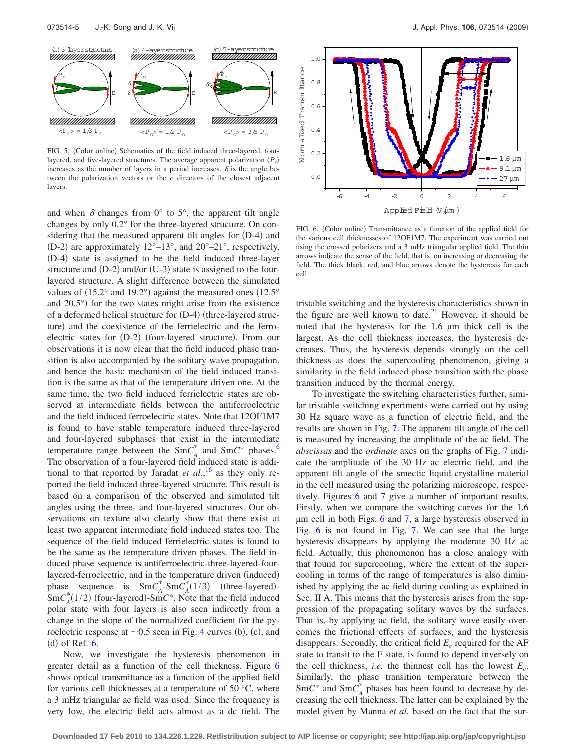<span id="page-4-0"></span>

FIG. 5. (Color online) Schematics of the field induced three-layered, fourlayered, and five-layered structures. The average apparent polarization  $\langle P_s \rangle$ increases as the number of layers in a period increases.  $\delta$  is the angle between the polarization vectors or the *c* directors of the closest adjacent layers.

and when  $\delta$  changes from  $0^{\circ}$  to  $5^{\circ}$ , the apparent tilt angle changes by only 0.2° for the three-layered structure. On considering that the measured apparent tilt angles for (D-4) and (D-2) are approximately  $12^{\circ}-13^{\circ}$ , and  $20^{\circ}-21^{\circ}$ , respectively. (D-4) state is assigned to be the field induced three-layer structure and  $(D-2)$  and/or  $(U-3)$  state is assigned to the fourlayered structure. A slight difference between the simulated values of  $(15.2^{\circ}$  and  $19.2^{\circ})$  against the measured ones  $(12.5^{\circ}$ and  $20.5^{\circ}$ ) for the two states might arise from the existence of a deformed helical structure for (D-4) (three-layered structure) and the coexistence of the ferrielectric and the ferroelectric states for (D-2) (four-layered structure). From our observations it is now clear that the field induced phase transition is also accompanied by the solitary wave propagation, and hence the basic mechanism of the field induced transition is the same as that of the temperature driven one. At the same time, the two field induced ferrielectric states are observed at intermediate fields between the antiferroelectric and the field induced ferroelectric states. Note that 12OF1M7 is found to have stable temperature induced three-layered and four-layered subphases that exist in the intermediate temperature range between the  $SmC_A^*$  and  $SmC^*$  phases.<sup>6</sup> The observation of a four-layered field induced state is additional to that reported by Jaradat *et al.*,<sup>[16](#page-5-13)</sup> as they only reported the field induced three-layered structure. This result is based on a comparison of the observed and simulated tilt angles using the three- and four-layered structures. Our observations on texture also clearly show that there exist at least two apparent intermediate field induced states too. The sequence of the field induced ferrielectric states is found to be the same as the temperature driven phases. The field induced phase sequence is antiferroelectric-three-layered-fourlayered-ferroelectric, and in the temperature driven (induced) phase sequence is  $SmC_A^*SmC_A^*(1/3)$  (three-layered)- $\text{SmC}_{A}^{*}(1/2)$  (four-layered)-Sm<sup> $C^{*}$ </sup>. Note that the field induced polar state with four layers is also seen indirectly from a change in the slope of the normalized coefficient for the pyroelectric response at  $\sim 0.5$  seen in Fig. [4](#page-3-0) curves (b), (c), and  $(d)$  of Ref.  $6$ .

Now, we investigate the hysteresis phenomenon in greater detail as a function of the cell thickness. Figure [6](#page-4-1) shows optical transmittance as a function of the applied field for various cell thicknesses at a temperature of 50 °C, where a 3 mHz triangular ac field was used. Since the frequency is very low, the electric field acts almost as a dc field. The

<span id="page-4-1"></span>

FIG. 6. (Color online) Transmittance as a function of the applied field for the various cell thicknesses of 12OF1M7. The experiment was carried out using the crossed polarizers and a 3 mHz triangular applied field. The thin arrows indicate the sense of the field, that is, on increasing or decreasing the field. The thick black, red, and blue arrows denote the hysteresis for each cell.

tristable switching and the hysteresis characteristics shown in the figure are well known to date. $2<sup>1</sup>$  However, it should be noted that the hysteresis for the 1.6 µm thick cell is the largest. As the cell thickness increases, the hysteresis decreases. Thus, the hysteresis depends strongly on the cell thickness as does the supercooling phenomenon, giving a similarity in the field induced phase transition with the phase transition induced by the thermal energy.

To investigate the switching characteristics further, similar tristable switching experiments were carried out by using 30 Hz square wave as a function of electric field, and the results are shown in Fig. [7.](#page-5-19) The apparent tilt angle of the cell is measured by increasing the amplitude of the ac field. The *abscissas* and the *ordinate* axes on the graphs of Fig. [7](#page-5-19) indicate the amplitude of the 30 Hz ac electric field, and the apparent tilt angle of the smectic liquid crystalline material in the cell measured using the polarizing microscope, respectively. Figures [6](#page-4-1) and [7](#page-5-19) give a number of important results. Firstly, when we compare the switching curves for the 1.6 µm cell in both Figs. [6](#page-4-1) and [7,](#page-5-19) a large hysteresis observed in Fig. [6](#page-4-1) is not found in Fig. [7.](#page-5-19) We can see that the large hysteresis disappears by applying the moderate 30 Hz ac field. Actually, this phenomenon has a close analogy with that found for supercooling, where the extent of the supercooling in terms of the range of temperatures is also diminished by applying the ac field during cooling as explained in Sec. II A. This means that the hysteresis arises from the suppression of the propagating solitary waves by the surfaces. That is, by applying ac field, the solitary wave easily overcomes the frictional effects of surfaces, and the hysteresis disappears. Secondly, the critical field  $E_c$  required for the AF state to transit to the F state, is found to depend inversely on the cell thickness, *i.e.* the thinnest cell has the lowest *Ec*. Similarly, the phase transition temperature between the  $SmC^*$  and  $SmC^*$  phases has been found to decrease by decreasing the cell thickness. The latter can be explained by the model given by Manna *et al.* based on the fact that the sur-